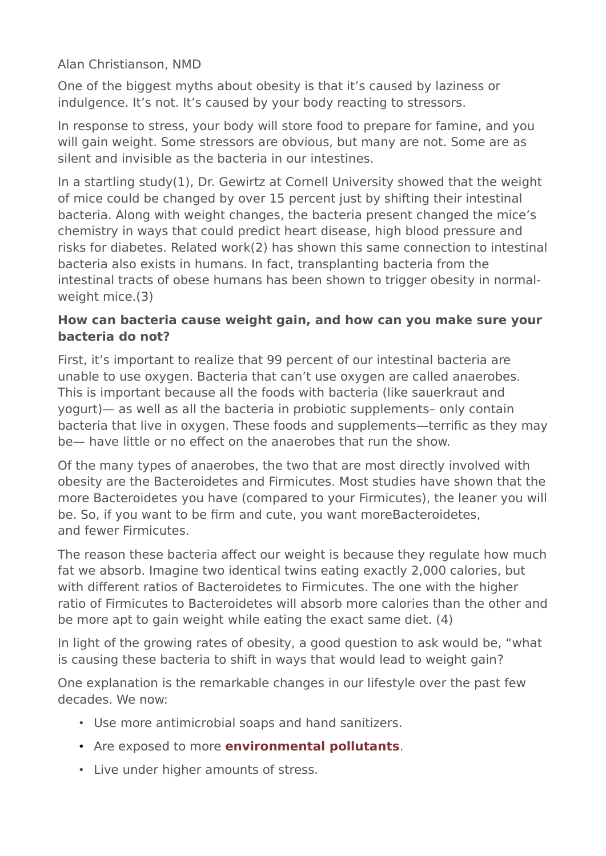Alan Christianson, NMD

One of the biggest myths about obesity is that it's caused by laziness or indulgence. It's not. It's caused by your body reacting to stressors.

In response to stress, your body will store food to prepare for famine, and you will gain weight. Some stressors are obvious, but many are not. Some are as silent and invisible as the bacteria in our intestines.

In a startling study(1), Dr. Gewirtz at Cornell University showed that the weight of mice could be changed by over 15 percent just by shifting their intestinal bacteria. Along with weight changes, the bacteria present changed the mice's chemistry in ways that could predict heart disease, high blood pressure and risks for diabetes. Related work(2) has shown this same connection to intestinal bacteria also exists in humans. In fact, transplanting bacteria from the intestinal tracts of obese humans has been shown to trigger obesity in normalweight mice.(3)

## **How can bacteria cause weight gain, and how can you make sure your bacteria do not?**

First, it's important to realize that 99 percent of our intestinal bacteria are unable to use oxygen. Bacteria that can't use oxygen are called anaerobes. This is important because all the foods with bacteria (like sauerkraut and yogurt)— as well as all the bacteria in probiotic supplements– only contain bacteria that live in oxygen. These foods and supplements—terrific as they may be— have little or no effect on the anaerobes that run the show.

Of the many types of anaerobes, the two that are most directly involved with obesity are the Bacteroidetes and Firmicutes. Most studies have shown that the more Bacteroidetes you have (compared to your Firmicutes), the leaner you will be. So, if you want to be firm and cute, you want moreBacteroidetes, and fewer Firmicutes.

The reason these bacteria affect our weight is because they regulate how much fat we absorb. Imagine two identical twins eating exactly 2,000 calories, but with different ratios of Bacteroidetes to Firmicutes. The one with the higher ratio of Firmicutes to Bacteroidetes will absorb more calories than the other and be more apt to gain weight while eating the exact same diet. (4)

In light of the growing rates of obesity, a good question to ask would be, "what is causing these bacteria to shift in ways that would lead to weight gain?

One explanation is the remarkable changes in our lifestyle over the past few decades. We now:

- Use more antimicrobial soaps and hand sanitizers.
- Are exposed to more **[environmental pollutants](https://naturemed.org/how-toxins-cause-disease/)**.
- Live under higher amounts of stress.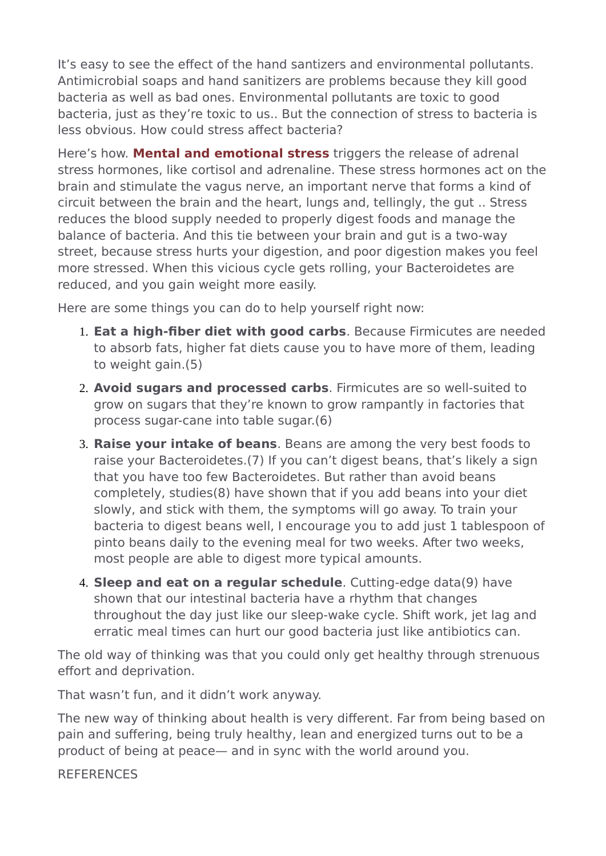It's easy to see the effect of the hand santizers and environmental pollutants. Antimicrobial soaps and hand sanitizers are problems because they kill good bacteria as well as bad ones. Environmental pollutants are toxic to good bacteria, just as they're toxic to us.. But the connection of stress to bacteria is less obvious. How could stress affect bacteria?

Here's how. **[Mental and emotional stress](https://naturemed.org/the-importance-of-stress-reduction-in-overall-health/)** triggers the release of adrenal stress hormones, like cortisol and adrenaline. These stress hormones act on the brain and stimulate the vagus nerve, an important nerve that forms a kind of circuit between the brain and the heart, lungs and, tellingly, the gut .. Stress reduces the blood supply needed to properly digest foods and manage the balance of bacteria. And this tie between your brain and gut is a two-way street, because stress hurts your digestion, and poor digestion makes you feel more stressed. When this vicious cycle gets rolling, your Bacteroidetes are reduced, and you gain weight more easily.

Here are some things you can do to help yourself right now:

- 1. **Eat a high-fiber diet with good carbs**. Because Firmicutes are needed to absorb fats, higher fat diets cause you to have more of them, leading to weight gain.(5)
- 2. **Avoid sugars and processed carbs**. Firmicutes are so well-suited to grow on sugars that they're known to grow rampantly in factories that process sugar-cane into table sugar.(6)
- 3. **Raise your intake of beans**. Beans are among the very best foods to raise your Bacteroidetes.(7) If you can't digest beans, that's likely a sign that you have too few Bacteroidetes. But rather than avoid beans completely, studies(8) have shown that if you add beans into your diet slowly, and stick with them, the symptoms will go away. To train your bacteria to digest beans well, I encourage you to add just 1 tablespoon of pinto beans daily to the evening meal for two weeks. After two weeks, most people are able to digest more typical amounts.
- 4. **Sleep and eat on a regular schedule**. Cutting-edge data(9) have shown that our intestinal bacteria have a rhythm that changes throughout the day just like our sleep-wake cycle. Shift work, jet lag and erratic meal times can hurt our good bacteria just like antibiotics can.

The old way of thinking was that you could only get healthy through strenuous effort and deprivation.

That wasn't fun, and it didn't work anyway.

The new way of thinking about health is very different. Far from being based on pain and suffering, being truly healthy, lean and energized turns out to be a product of being at peace— and in sync with the world around you.

## **REFERENCES**